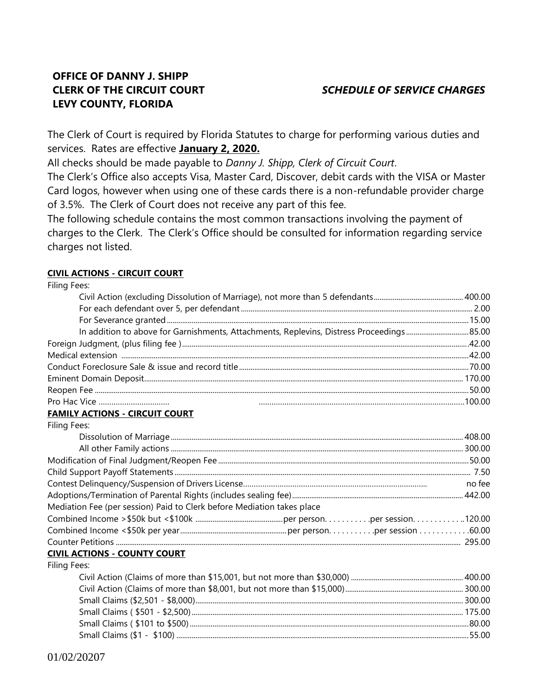## **OFFICE OF DANNY J. SHIPP CLERK OF THE CIRCUIT COURT LEVY COUNTY, FLORIDA**

## *SCHEDULE OF SERVICE CHARGES*

The Clerk of Court is required by Florida Statutes to charge for performing various duties and services. Rates are effective **January 2, 2020.**

All checks should be made payable to *Danny J. Shipp, Clerk of Circuit Court*.

The Clerk's Office also accepts Visa, Master Card, Discover, debit cards with the VISA or Master Card logos, however when using one of these cards there is a non-refundable provider charge of 3.5%. The Clerk of Court does not receive any part of this fee.

The following schedule contains the most common transactions involving the payment of charges to the Clerk. The Clerk's Office should be consulted for information regarding service charges not listed.

### **CIVIL ACTIONS - CIRCUIT COURT**

Filing Fees:

| <b>FAMILY ACTIONS - CIRCUIT COURT</b>                                  |        |
|------------------------------------------------------------------------|--------|
| Filing Fees:                                                           |        |
|                                                                        |        |
|                                                                        |        |
|                                                                        |        |
|                                                                        |        |
|                                                                        | no fee |
|                                                                        |        |
| Mediation Fee (per session) Paid to Clerk before Mediation takes place |        |
|                                                                        |        |
|                                                                        |        |
|                                                                        |        |
| <b>CIVIL ACTIONS - COUNTY COURT</b>                                    |        |
| Filing Fees:                                                           |        |
|                                                                        |        |
|                                                                        |        |
|                                                                        |        |
|                                                                        |        |
|                                                                        |        |
|                                                                        |        |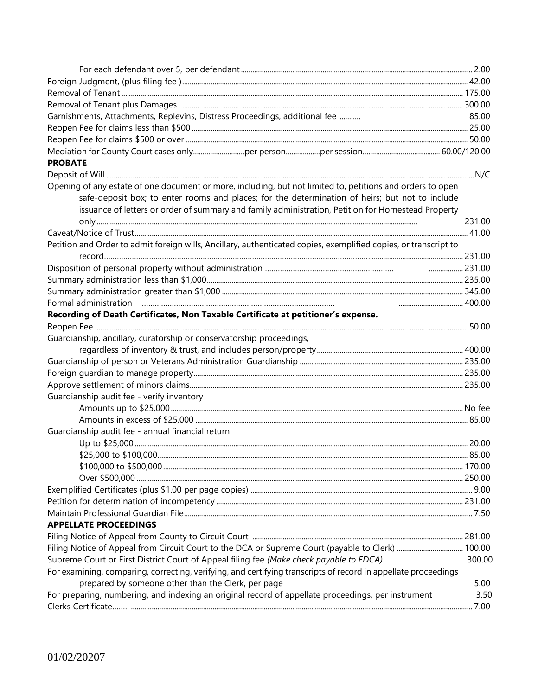| Garnishments, Attachments, Replevins, Distress Proceedings, additional fee                                       | 85.00  |
|------------------------------------------------------------------------------------------------------------------|--------|
|                                                                                                                  |        |
|                                                                                                                  |        |
|                                                                                                                  |        |
| <b>PROBATE</b>                                                                                                   |        |
|                                                                                                                  |        |
| Opening of any estate of one document or more, including, but not limited to, petitions and orders to open       |        |
| safe-deposit box; to enter rooms and places; for the determination of heirs; but not to include                  |        |
| issuance of letters or order of summary and family administration, Petition for Homestead Property               |        |
|                                                                                                                  | 231.00 |
|                                                                                                                  |        |
| Petition and Order to admit foreign wills, Ancillary, authenticated copies, exemplified copies, or transcript to |        |
|                                                                                                                  |        |
| 231.00                                                                                                           |        |
|                                                                                                                  |        |
|                                                                                                                  |        |
|                                                                                                                  |        |
| Recording of Death Certificates, Non Taxable Certificate at petitioner's expense.                                |        |
|                                                                                                                  |        |
| Guardianship, ancillary, curatorship or conservatorship proceedings,                                             |        |
|                                                                                                                  |        |
|                                                                                                                  |        |
|                                                                                                                  |        |
| Guardianship audit fee - verify inventory                                                                        |        |
|                                                                                                                  |        |
|                                                                                                                  |        |
| Guardianship audit fee - annual financial return                                                                 |        |
|                                                                                                                  |        |
| \$25,000 to \$100,000                                                                                            | .85.00 |
|                                                                                                                  |        |
|                                                                                                                  |        |
|                                                                                                                  |        |
|                                                                                                                  |        |
|                                                                                                                  |        |
| <b>APPELLATE PROCEEDINGS</b>                                                                                     |        |
|                                                                                                                  |        |
| Filing Notice of Appeal from Circuit Court to the DCA or Supreme Court (payable to Clerk)  100.00                |        |
| Supreme Court or First District Court of Appeal filing fee (Make check payable to FDCA)                          | 300.00 |
| For examining, comparing, correcting, verifying, and certifying transcripts of record in appellate proceedings   |        |
| prepared by someone other than the Clerk, per page                                                               | 5.00   |
| For preparing, numbering, and indexing an original record of appellate proceedings, per instrument               | 3.50   |
|                                                                                                                  | 7.00   |